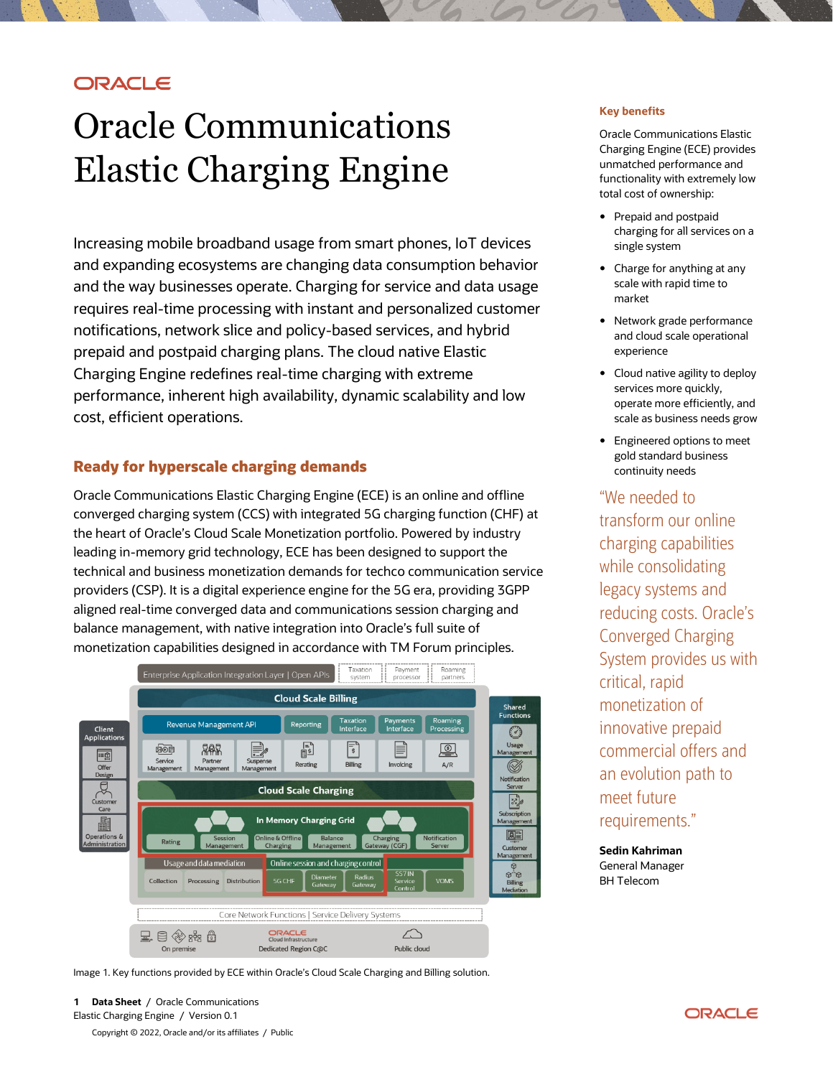# **ORACLE**

# Oracle Communications Elastic Charging Engine

Increasing mobile broadband usage from smart phones, IoT devices and expanding ecosystems are changing data consumption behavior and the way businesses operate. Charging for service and data usage requires real-time processing with instant and personalized customer notifications, network slice and policy-based services, and hybrid prepaid and postpaid charging plans. The cloud native Elastic Charging Engine redefines real-time charging with extreme performance, inherent high availability, dynamic scalability and low cost, efficient operations.

## **Ready for hyperscale charging demands**

Oracle Communications Elastic Charging Engine (ECE) is an online and offline converged charging system (CCS) with integrated 5G charging function (CHF) at the heart of Oracle's Cloud Scale Monetization portfolio. Powered by industry leading in-memory grid technology, ECE has been designed to support the technical and business monetization demands for techco communication service providers (CSP). It is a digital experience engine for the 5G era, providing 3GPP aligned real-time converged data and communications session charging and balance management, with native integration into Oracle's full suite of monetization capabilities designed in accordance with TM Forum principles.



Image 1. Key functions provided by ECE within Oracle's Cloud Scale Charging and Billing solution.

#### **Key benefits**

Oracle Communications Elastic Charging Engine (ECE) provides unmatched performance and functionality with extremely low total cost of ownership:

- Prepaid and postpaid charging for all services on a single system
- Charge for anything at any scale with rapid time to market
- Network grade performance and cloud scale operational experience
- Cloud native agility to deploy services more quickly, operate more efficiently, and scale as business needs grow
- Engineered options to meet gold standard business continuity needs

"We needed to transform our online charging capabilities while consolidating legacy systems and reducing costs. Oracle's Converged Charging System provides us with critical, rapid monetization of innovative prepaid commercial offers and an evolution path to meet future requirements."

**Sedin Kahriman** General Manager BH Telecom

Copyright © 2022, Oracle and/or its affiliates / Public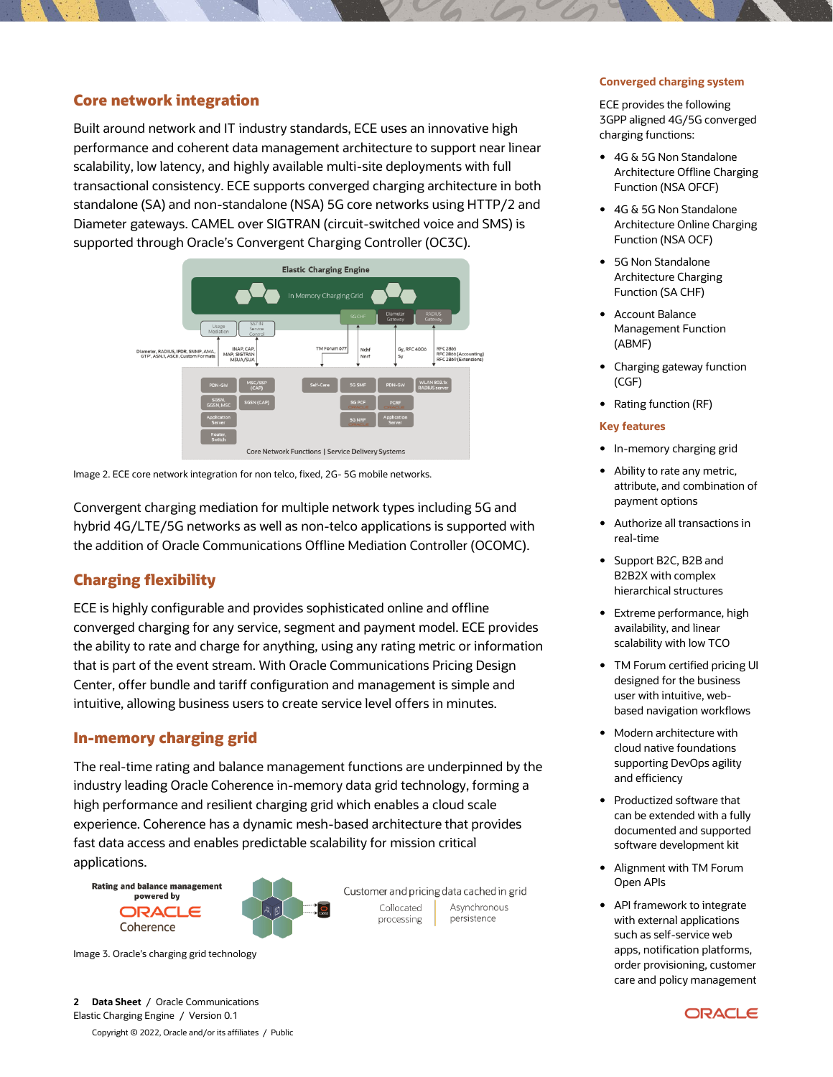## **Core network integration**

Built around network and IT industry standards, ECE uses an innovative high performance and coherent data management architecture to support near linear scalability, low latency, and highly available multi-site deployments with full transactional consistency. ECE supports converged charging architecture in both standalone (SA) and non-standalone (NSA) 5G core networks using HTTP/2 and Diameter gateways. CAMEL over SIGTRAN (circuit-switched voice and SMS) is supported through Oracle's Convergent Charging Controller (OC3C).



Image 2. ECE core network integration for non telco, fixed, 2G- 5G mobile networks.

Convergent charging mediation for multiple network types including 5G and hybrid 4G/LTE/5G networks as well as non-telco applications is supported with the addition of Oracle Communications Offline Mediation Controller (OCOMC).

# **Charging flexibility**

ECE is highly configurable and provides sophisticated online and offline converged charging for any service, segment and payment model. ECE provides the ability to rate and charge for anything, using any rating metric or information that is part of the event stream. With Oracle Communications Pricing Design Center, offer bundle and tariff configuration and management is simple and intuitive, allowing business users to create service level offers in minutes.

## **In-memory charging grid**

The real-time rating and balance management functions are underpinned by the industry leading Oracle Coherence in-memory data grid technology, forming a high performance and resilient charging grid which enables a cloud scale experience. Coherence has a dynamic mesh-based architecture that provides fast data access and enables predictable scalability for mission critical applications.





Customer and pricing data cached in grid Asynchronous Collocated persistence processing

**Converged charging system**

ECE provides the following 3GPP aligned 4G/5G converged charging functions:

- 4G & 5G Non Standalone Architecture Offline Charging Function (NSA OFCF)
- 4G & 5G Non Standalone Architecture Online Charging Function (NSA OCF)
- 5G Non Standalone Architecture Charging Function (SA CHF)
- Account Balance Management Function (ABMF)
- Charging gateway function (CGF)
- Rating function (RF)

#### **Key features**

- In-memory charging grid
- Ability to rate any metric, attribute, and combination of payment options
- Authorize all transactions in real-time
- Support B2C, B2B and B2B2X with complex hierarchical structures
- Extreme performance, high availability, and linear scalability with low TCO
- TM Forum certified pricing UI designed for the business user with intuitive, webbased navigation workflows
- Modern architecture with cloud native foundations supporting DevOps agility and efficiency
- Productized software that can be extended with a fully documented and supported software development kit
- Alignment with TM Forum Open APIs
- API framework to integrate with external applications such as self-service web apps, notification platforms, order provisioning, customer care and policy management

Image 3. Oracle's charging grid technology

**2 Data Sheet** / Oracle Communications Elastic Charging Engine / Version 0.1

Copyright © 2022, Oracle and/or its affiliates / Public

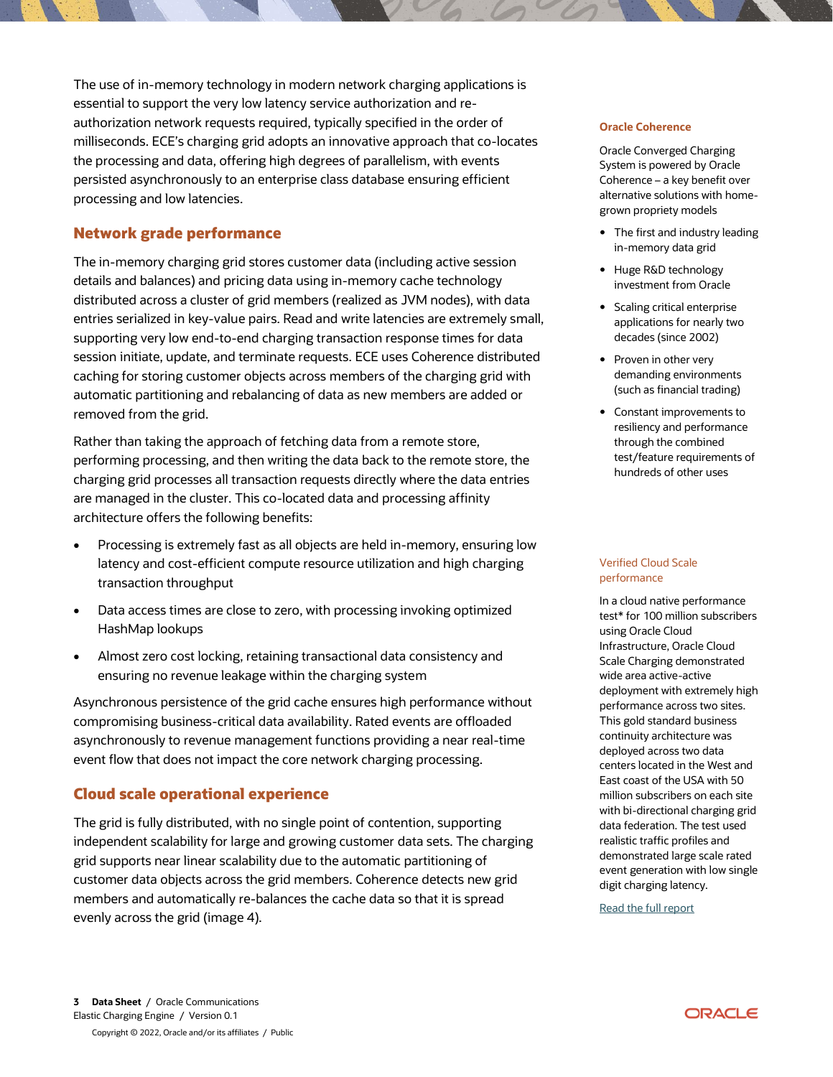The use of in-memory technology in modern network charging applications is essential to support the very low latency service authorization and reauthorization network requests required, typically specified in the order of milliseconds. ECE's charging grid adopts an innovative approach that co-locates the processing and data, offering high degrees of parallelism, with events persisted asynchronously to an enterprise class database ensuring efficient processing and low latencies.

## **Network grade performance**

The in-memory charging grid stores customer data (including active session details and balances) and pricing data using in-memory cache technology distributed across a cluster of grid members (realized as JVM nodes), with data entries serialized in key-value pairs. Read and write latencies are extremely small, supporting very low end-to-end charging transaction response times for data session initiate, update, and terminate requests. ECE uses Coherence distributed caching for storing customer objects across members of the charging grid with automatic partitioning and rebalancing of data as new members are added or removed from the grid.

Rather than taking the approach of fetching data from a remote store, performing processing, and then writing the data back to the remote store, the charging grid processes all transaction requests directly where the data entries are managed in the cluster. This co-located data and processing affinity architecture offers the following benefits:

- Processing is extremely fast as all objects are held in-memory, ensuring low latency and cost-efficient compute resource utilization and high charging transaction throughput
- Data access times are close to zero, with processing invoking optimized HashMap lookups
- Almost zero cost locking, retaining transactional data consistency and ensuring no revenue leakage within the charging system

Asynchronous persistence of the grid cache ensures high performance without compromising business-critical data availability. Rated events are offloaded asynchronously to revenue management functions providing a near real-time event flow that does not impact the core network charging processing.

## **Cloud scale operational experience**

The grid is fully distributed, with no single point of contention, supporting independent scalability for large and growing customer data sets. The charging grid supports near linear scalability due to the automatic partitioning of customer data objects across the grid members. Coherence detects new grid members and automatically re-balances the cache data so that it is spread evenly across the grid (image 4).

#### **Oracle Coherence**

Oracle Converged Charging System is powered by Oracle Coherence – a key benefit over alternative solutions with homegrown propriety models

- The first and industry leading in-memory data grid
- Huge R&D technology investment from Oracle
- Scaling critical enterprise applications for nearly two decades (since 2002)
- Proven in other very demanding environments (such as financial trading)
- Constant improvements to resiliency and performance through the combined test/feature requirements of hundreds of other uses

#### Verified Cloud Scale performance

In a cloud native performance test\* for 100 million subscribers using Oracle Cloud Infrastructure, Oracle Cloud Scale Charging demonstrated wide area active-active deployment with extremely high performance across two sites. This gold standard business continuity architecture was deployed across two data centers located in the West and East coast of the USA with 50 million subscribers on each site with bi-directional charging grid data federation. The test used realistic traffic profiles and demonstrated large scale rated event generation with low single digit charging latency.

[Read the full report](https://www-sites.oracle.com/industries/communications/monetization/converged-charging-system/)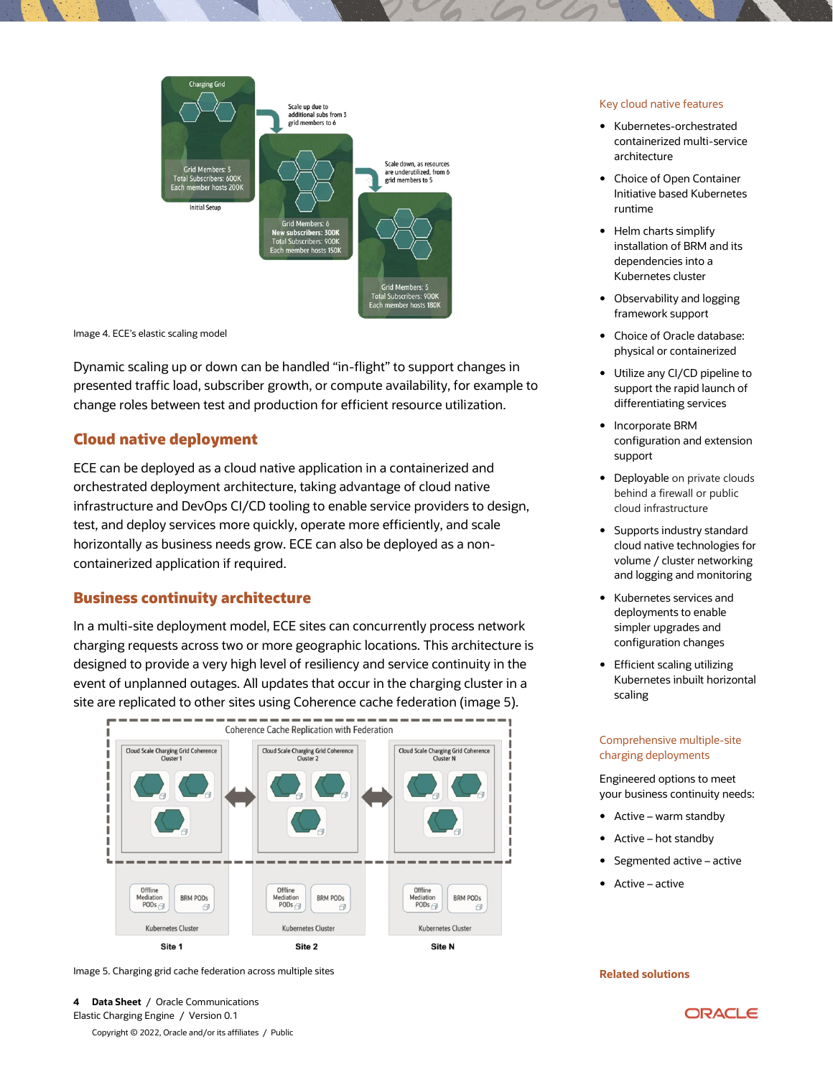

Image 4. ECE's elastic scaling model

Dynamic scaling up or down can be handled "in-flight" to support changes in presented traffic load, subscriber growth, or compute availability, for example to change roles between test and production for efficient resource utilization.

## **Cloud native deployment**

ECE can be deployed as a cloud native application in a containerized and orchestrated deployment architecture, taking advantage of cloud native infrastructure and DevOps CI/CD tooling to enable service providers to design, test, and deploy services more quickly, operate more efficiently, and scale horizontally as business needs grow. ECE can also be deployed as a noncontainerized application if required.

## **Business continuity architecture**

In a multi-site deployment model, ECE sites can concurrently process network charging requests across two or more geographic locations. This architecture is designed to provide a very high level of resiliency and service continuity in the event of unplanned outages. All updates that occur in the charging cluster in a site are replicated to other sites using Coherence cache federation (image 5).



Image 5. Charging grid cache federation across multiple sites

Copyright © 2022, Oracle and/or its affiliates / Public

#### Key cloud native features

- Kubernetes-orchestrated containerized multi-service architecture
- Choice of Open Container Initiative based Kubernetes runtime
- Helm charts simplify installation of BRM and its dependencies into a Kubernetes cluster
- Observability and logging framework support
- Choice of Oracle database: physical or containerized
- Utilize any CI/CD pipeline to support the rapid launch of differentiating services
- Incorporate BRM configuration and extension support
- Deployable on private clouds behind a firewall or public cloud infrastructure
- Supports industry standard cloud native technologies for volume / cluster networking and logging and monitoring
- Kubernetes services and deployments to enable simpler upgrades and configuration changes
- Efficient scaling utilizing Kubernetes inbuilt horizontal scaling

#### Comprehensive multiple-site charging deployments

Engineered options to meet your business continuity needs:

- Active warm standby
- Active hot standby
- Segmented active active
- Active active

#### **Related solutions**